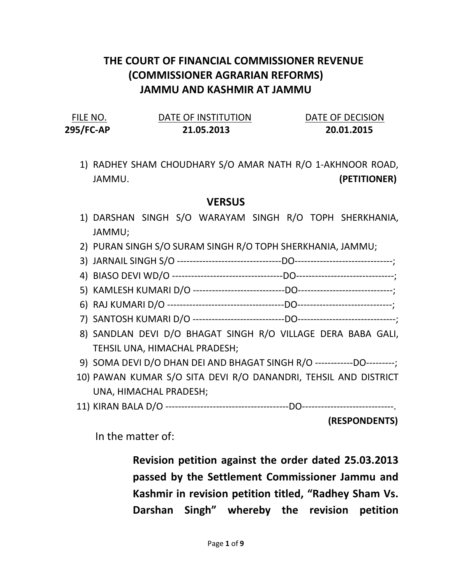## THE COURT OF FINANCIAL COMMISSIONER REVENUE (COMMISSIONER AGRARIAN REFORMS) JAMMU AND KASHMIR AT JAMMU

| FILE NO.  | DATE OF INSTITUTION | DATE OF DECISION |
|-----------|---------------------|------------------|
| 295/FC-AP | 21.05.2013          | 20.01.2015       |

1) RADHEY SHAM CHOUDHARY S/O AMAR NATH R/O 1-AKHNOOR ROAD, JAMMU. (PETITIONER)

## **VERSUS**

- 1) DARSHAN SINGH S/O WARAYAM SINGH R/O TOPH SHERKHANIA, JAMMU;
- 2) PURAN SINGH S/O SURAM SINGH R/O TOPH SHERKHANIA, JAMMU;
- 3) JARNAIL SINGH S/O ---------------------------------DO-------------------------------;
- 4) BIASO DEVI WD/O -----------------------------------DO-------------------------------;
- 5) KAMLESH KUMARI D/O -----------------------------DO------------------------------;
- 6) RAJ KUMARI D/O -------------------------------------DO------------------------------;
- 7) SANTOSH KUMARI D/O -----------------------------DO-------------------------------;
- 8) SANDLAN DEVI D/O BHAGAT SINGH R/O VILLAGE DERA BABA GALI, TEHSIL UNA, HIMACHAL PRADESH;
- 9) SOMA DEVI D/O DHAN DEI AND BHAGAT SINGH R/O ------------DO---------;
- 10) PAWAN KUMAR S/O SITA DEVI R/O DANANDRI, TEHSIL AND DISTRICT UNA, HIMACHAL PRADESH;
- 11) KIRAN BALA D/O ---------------------------------------DO-----------------------------.

(RESPONDENTS)

In the matter of:

Revision petition against the order dated 25.03.2013 passed by the Settlement Commissioner Jammu and Kashmir in revision petition titled, "Radhey Sham Vs. Darshan Singh" whereby the revision petition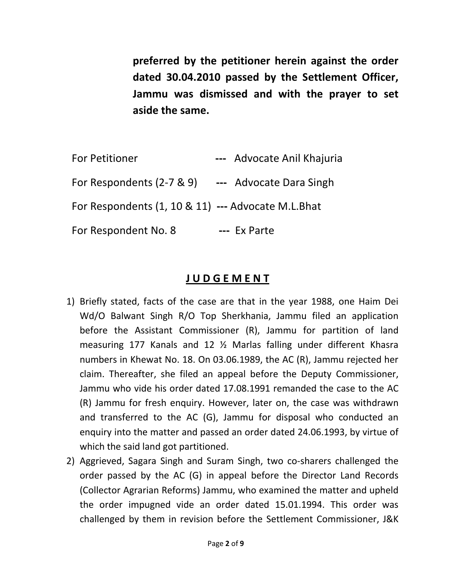preferred by the petitioner herein against the order dated 30.04.2010 passed by the Settlement Officer, Jammu was dismissed and with the prayer to set aside the same.

| <b>For Petitioner</b>                              | --- Advocate Anil Khajuria |
|----------------------------------------------------|----------------------------|
| For Respondents (2-7 & 9)                          | --- Advocate Dara Singh    |
| For Respondents (1, 10 & 11) --- Advocate M.L.Bhat |                            |
| For Respondent No. 8                               | --- Ex Parte               |

## J U D G E M E N T

- 1) Briefly stated, facts of the case are that in the year 1988, one Haim Dei Wd/O Balwant Singh R/O Top Sherkhania, Jammu filed an application before the Assistant Commissioner (R), Jammu for partition of land measuring 177 Kanals and 12 ½ Marlas falling under different Khasra numbers in Khewat No. 18. On 03.06.1989, the AC (R), Jammu rejected her claim. Thereafter, she filed an appeal before the Deputy Commissioner, Jammu who vide his order dated 17.08.1991 remanded the case to the AC (R) Jammu for fresh enquiry. However, later on, the case was withdrawn and transferred to the AC (G), Jammu for disposal who conducted an enquiry into the matter and passed an order dated 24.06.1993, by virtue of which the said land got partitioned.
- 2) Aggrieved, Sagara Singh and Suram Singh, two co-sharers challenged the order passed by the AC (G) in appeal before the Director Land Records (Collector Agrarian Reforms) Jammu, who examined the matter and upheld the order impugned vide an order dated 15.01.1994. This order was challenged by them in revision before the Settlement Commissioner, J&K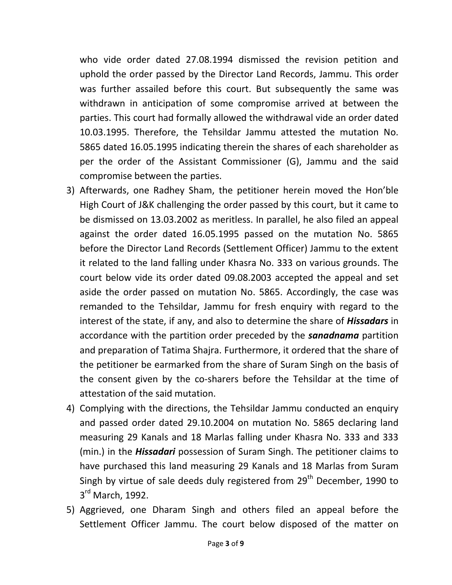who vide order dated 27.08.1994 dismissed the revision petition and uphold the order passed by the Director Land Records, Jammu. This order was further assailed before this court. But subsequently the same was withdrawn in anticipation of some compromise arrived at between the parties. This court had formally allowed the withdrawal vide an order dated 10.03.1995. Therefore, the Tehsildar Jammu attested the mutation No. 5865 dated 16.05.1995 indicating therein the shares of each shareholder as per the order of the Assistant Commissioner (G), Jammu and the said compromise between the parties.

- 3) Afterwards, one Radhey Sham, the petitioner herein moved the Hon'ble High Court of J&K challenging the order passed by this court, but it came to be dismissed on 13.03.2002 as meritless. In parallel, he also filed an appeal against the order dated 16.05.1995 passed on the mutation No. 5865 before the Director Land Records (Settlement Officer) Jammu to the extent it related to the land falling under Khasra No. 333 on various grounds. The court below vide its order dated 09.08.2003 accepted the appeal and set aside the order passed on mutation No. 5865. Accordingly, the case was remanded to the Tehsildar, Jammu for fresh enquiry with regard to the interest of the state, if any, and also to determine the share of **Hissadars** in accordance with the partition order preceded by the **sanadnama** partition and preparation of Tatima Shajra. Furthermore, it ordered that the share of the petitioner be earmarked from the share of Suram Singh on the basis of the consent given by the co-sharers before the Tehsildar at the time of attestation of the said mutation.
- 4) Complying with the directions, the Tehsildar Jammu conducted an enquiry and passed order dated 29.10.2004 on mutation No. 5865 declaring land measuring 29 Kanals and 18 Marlas falling under Khasra No. 333 and 333 (min.) in the **Hissadari** possession of Suram Singh. The petitioner claims to have purchased this land measuring 29 Kanals and 18 Marlas from Suram Singh by virtue of sale deeds duly registered from  $29<sup>th</sup>$  December, 1990 to 3<sup>rd</sup> March, 1992.
- 5) Aggrieved, one Dharam Singh and others filed an appeal before the Settlement Officer Jammu. The court below disposed of the matter on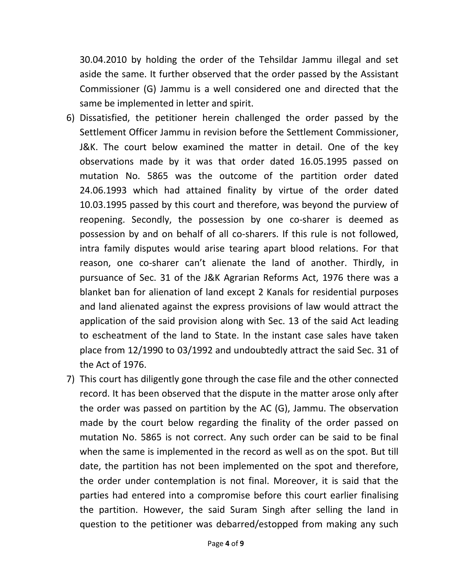30.04.2010 by holding the order of the Tehsildar Jammu illegal and set aside the same. It further observed that the order passed by the Assistant Commissioner (G) Jammu is a well considered one and directed that the same be implemented in letter and spirit.

- 6) Dissatisfied, the petitioner herein challenged the order passed by the Settlement Officer Jammu in revision before the Settlement Commissioner, J&K. The court below examined the matter in detail. One of the key observations made by it was that order dated 16.05.1995 passed on mutation No. 5865 was the outcome of the partition order dated 24.06.1993 which had attained finality by virtue of the order dated 10.03.1995 passed by this court and therefore, was beyond the purview of reopening. Secondly, the possession by one co-sharer is deemed as possession by and on behalf of all co-sharers. If this rule is not followed, intra family disputes would arise tearing apart blood relations. For that reason, one co-sharer can't alienate the land of another. Thirdly, in pursuance of Sec. 31 of the J&K Agrarian Reforms Act, 1976 there was a blanket ban for alienation of land except 2 Kanals for residential purposes and land alienated against the express provisions of law would attract the application of the said provision along with Sec. 13 of the said Act leading to escheatment of the land to State. In the instant case sales have taken place from 12/1990 to 03/1992 and undoubtedly attract the said Sec. 31 of the Act of 1976.
- 7) This court has diligently gone through the case file and the other connected record. It has been observed that the dispute in the matter arose only after the order was passed on partition by the AC (G), Jammu. The observation made by the court below regarding the finality of the order passed on mutation No. 5865 is not correct. Any such order can be said to be final when the same is implemented in the record as well as on the spot. But till date, the partition has not been implemented on the spot and therefore, the order under contemplation is not final. Moreover, it is said that the parties had entered into a compromise before this court earlier finalising the partition. However, the said Suram Singh after selling the land in question to the petitioner was debarred/estopped from making any such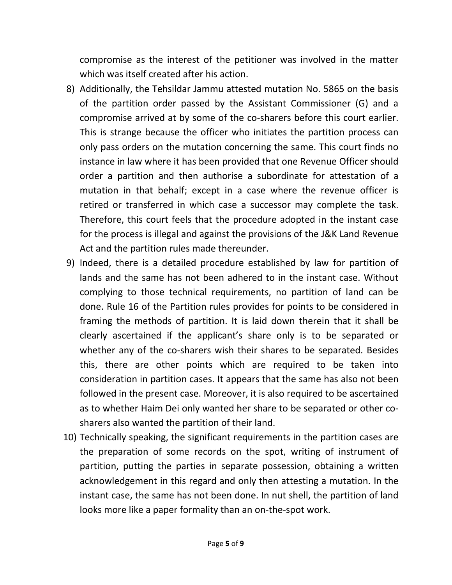compromise as the interest of the petitioner was involved in the matter which was itself created after his action.

- 8) Additionally, the Tehsildar Jammu attested mutation No. 5865 on the basis of the partition order passed by the Assistant Commissioner (G) and a compromise arrived at by some of the co-sharers before this court earlier. This is strange because the officer who initiates the partition process can only pass orders on the mutation concerning the same. This court finds no instance in law where it has been provided that one Revenue Officer should order a partition and then authorise a subordinate for attestation of a mutation in that behalf; except in a case where the revenue officer is retired or transferred in which case a successor may complete the task. Therefore, this court feels that the procedure adopted in the instant case for the process is illegal and against the provisions of the J&K Land Revenue Act and the partition rules made thereunder.
- 9) Indeed, there is a detailed procedure established by law for partition of lands and the same has not been adhered to in the instant case. Without complying to those technical requirements, no partition of land can be done. Rule 16 of the Partition rules provides for points to be considered in framing the methods of partition. It is laid down therein that it shall be clearly ascertained if the applicant's share only is to be separated or whether any of the co-sharers wish their shares to be separated. Besides this, there are other points which are required to be taken into consideration in partition cases. It appears that the same has also not been followed in the present case. Moreover, it is also required to be ascertained as to whether Haim Dei only wanted her share to be separated or other cosharers also wanted the partition of their land.
- 10) Technically speaking, the significant requirements in the partition cases are the preparation of some records on the spot, writing of instrument of partition, putting the parties in separate possession, obtaining a written acknowledgement in this regard and only then attesting a mutation. In the instant case, the same has not been done. In nut shell, the partition of land looks more like a paper formality than an on-the-spot work.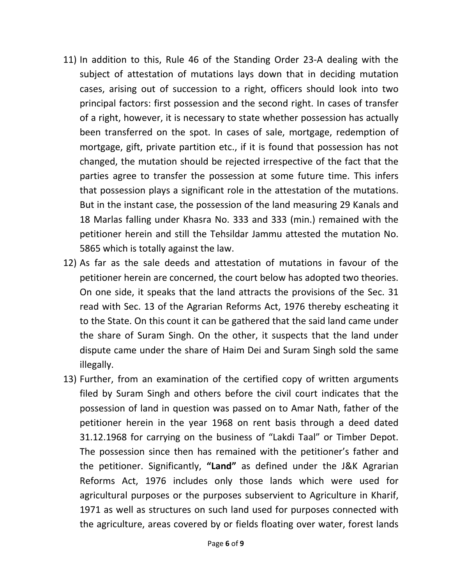- 11) In addition to this, Rule 46 of the Standing Order 23-A dealing with the subject of attestation of mutations lays down that in deciding mutation cases, arising out of succession to a right, officers should look into two principal factors: first possession and the second right. In cases of transfer of a right, however, it is necessary to state whether possession has actually been transferred on the spot. In cases of sale, mortgage, redemption of mortgage, gift, private partition etc., if it is found that possession has not changed, the mutation should be rejected irrespective of the fact that the parties agree to transfer the possession at some future time. This infers that possession plays a significant role in the attestation of the mutations. But in the instant case, the possession of the land measuring 29 Kanals and 18 Marlas falling under Khasra No. 333 and 333 (min.) remained with the petitioner herein and still the Tehsildar Jammu attested the mutation No. 5865 which is totally against the law.
- 12) As far as the sale deeds and attestation of mutations in favour of the petitioner herein are concerned, the court below has adopted two theories. On one side, it speaks that the land attracts the provisions of the Sec. 31 read with Sec. 13 of the Agrarian Reforms Act, 1976 thereby escheating it to the State. On this count it can be gathered that the said land came under the share of Suram Singh. On the other, it suspects that the land under dispute came under the share of Haim Dei and Suram Singh sold the same illegally.
- 13) Further, from an examination of the certified copy of written arguments filed by Suram Singh and others before the civil court indicates that the possession of land in question was passed on to Amar Nath, father of the petitioner herein in the year 1968 on rent basis through a deed dated 31.12.1968 for carrying on the business of "Lakdi Taal" or Timber Depot. The possession since then has remained with the petitioner's father and the petitioner. Significantly, "Land" as defined under the J&K Agrarian Reforms Act, 1976 includes only those lands which were used for agricultural purposes or the purposes subservient to Agriculture in Kharif, 1971 as well as structures on such land used for purposes connected with the agriculture, areas covered by or fields floating over water, forest lands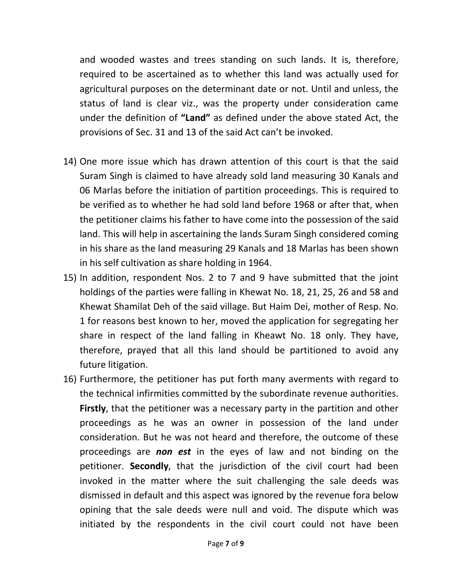and wooded wastes and trees standing on such lands. It is, therefore, required to be ascertained as to whether this land was actually used for agricultural purposes on the determinant date or not. Until and unless, the status of land is clear viz., was the property under consideration came under the definition of "Land" as defined under the above stated Act, the provisions of Sec. 31 and 13 of the said Act can't be invoked.

- 14) One more issue which has drawn attention of this court is that the said Suram Singh is claimed to have already sold land measuring 30 Kanals and 06 Marlas before the initiation of partition proceedings. This is required to be verified as to whether he had sold land before 1968 or after that, when the petitioner claims his father to have come into the possession of the said land. This will help in ascertaining the lands Suram Singh considered coming in his share as the land measuring 29 Kanals and 18 Marlas has been shown in his self cultivation as share holding in 1964.
- 15) In addition, respondent Nos. 2 to 7 and 9 have submitted that the joint holdings of the parties were falling in Khewat No. 18, 21, 25, 26 and 58 and Khewat Shamilat Deh of the said village. But Haim Dei, mother of Resp. No. 1 for reasons best known to her, moved the application for segregating her share in respect of the land falling in Kheawt No. 18 only. They have, therefore, prayed that all this land should be partitioned to avoid any future litigation.
- 16) Furthermore, the petitioner has put forth many averments with regard to the technical infirmities committed by the subordinate revenue authorities. **Firstly**, that the petitioner was a necessary party in the partition and other proceedings as he was an owner in possession of the land under consideration. But he was not heard and therefore, the outcome of these proceedings are **non est** in the eyes of law and not binding on the petitioner. Secondly, that the jurisdiction of the civil court had been invoked in the matter where the suit challenging the sale deeds was dismissed in default and this aspect was ignored by the revenue fora below opining that the sale deeds were null and void. The dispute which was initiated by the respondents in the civil court could not have been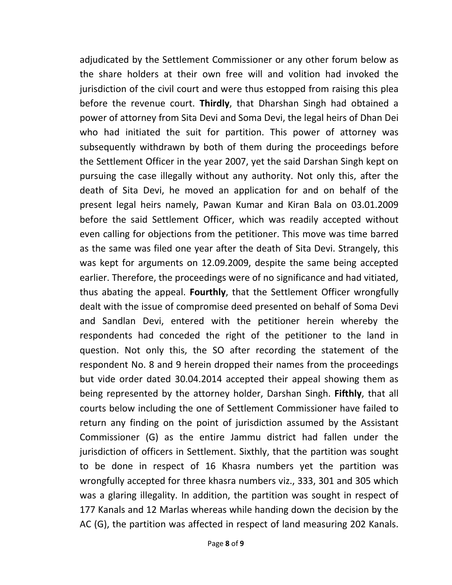adjudicated by the Settlement Commissioner or any other forum below as the share holders at their own free will and volition had invoked the jurisdiction of the civil court and were thus estopped from raising this plea before the revenue court. Thirdly, that Dharshan Singh had obtained a power of attorney from Sita Devi and Soma Devi, the legal heirs of Dhan Dei who had initiated the suit for partition. This power of attorney was subsequently withdrawn by both of them during the proceedings before the Settlement Officer in the year 2007, yet the said Darshan Singh kept on pursuing the case illegally without any authority. Not only this, after the death of Sita Devi, he moved an application for and on behalf of the present legal heirs namely, Pawan Kumar and Kiran Bala on 03.01.2009 before the said Settlement Officer, which was readily accepted without even calling for objections from the petitioner. This move was time barred as the same was filed one year after the death of Sita Devi. Strangely, this was kept for arguments on 12.09.2009, despite the same being accepted earlier. Therefore, the proceedings were of no significance and had vitiated, thus abating the appeal. Fourthly, that the Settlement Officer wrongfully dealt with the issue of compromise deed presented on behalf of Soma Devi and Sandlan Devi, entered with the petitioner herein whereby the respondents had conceded the right of the petitioner to the land in question. Not only this, the SO after recording the statement of the respondent No. 8 and 9 herein dropped their names from the proceedings but vide order dated 30.04.2014 accepted their appeal showing them as being represented by the attorney holder, Darshan Singh. Fifthly, that all courts below including the one of Settlement Commissioner have failed to return any finding on the point of jurisdiction assumed by the Assistant Commissioner (G) as the entire Jammu district had fallen under the jurisdiction of officers in Settlement. Sixthly, that the partition was sought to be done in respect of 16 Khasra numbers yet the partition was wrongfully accepted for three khasra numbers viz., 333, 301 and 305 which was a glaring illegality. In addition, the partition was sought in respect of 177 Kanals and 12 Marlas whereas while handing down the decision by the AC (G), the partition was affected in respect of land measuring 202 Kanals.